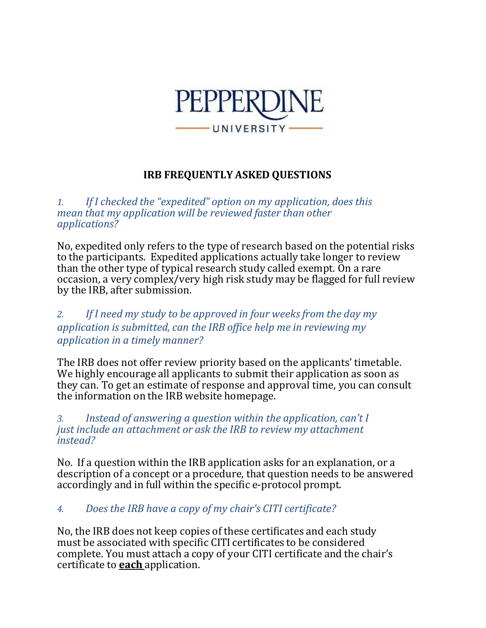

# **IRB FREQUENTLY ASKED QUESTIONS**

*1. If I checked the "expedited" option on my application, does this mean that my application will be reviewed faster than other applications?*

No, expedited only refers to the type of research based on the potential risks to the participants. Expedited applications actually take longer to review than the other type of typical research study called exempt. On a rare occasion, a very complex/very high risk study may be flagged for full review by the IRB, after submission.

## *2. If I need my study to be approved in four weeksfrom the day my application is submitted, can the IRB office help me in reviewing my application in a timely manner?*

The IRB does not offer review priority based on the applicants' timetable. We highly encourage all applicants to submit their application as soon as they can. To get an estimate of response and approval time, you can consult the information on the IRB website homepage.

*3. Instead of answering a question within the application, can't I just include an attachment or ask the IRB to review my attachment instead?*

No. If a question within the IRB application asks for an explanation, or a description of a concept or a procedure, that question needs to be answered accordingly and in full within the specific e-protocol prompt.

# *4. Does the IRB have a copy of my chair's CITI certificate?*

No, the IRB does not keep copies of these certificates and each study must be associated with specific CITI certificates to be considered complete. You must attach a copy of your CITI certificate and the chair's certificate to **each** application.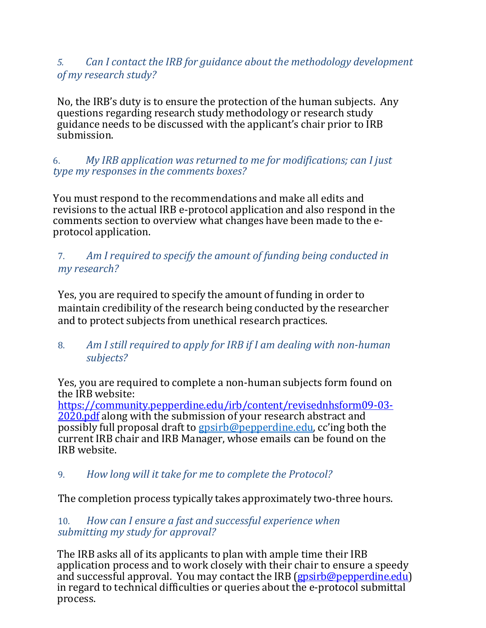# *5. Can I contact the IRB for guidance about the methodology development of my research study?*

No, the IRB's duty is to ensure the protection of the human subjects. Any questions regarding research study methodology or research study guidance needs to be discussed with the applicant's chair prior to IRB submission.

6. *My IRB application was returned to me for modifications; can I just type my responses in the comments boxes?* 

You must respond to the recommendations and make all edits and revisions to the actual IRB e-protocol application and also respond in the comments section to overview what changes have been made to the eprotocol application.

## 7. *Am I required to specify the amount of funding being conducted in my research?*

Yes, you are required to specify the amount of funding in order to maintain credibility of the research being conducted by the researcher and to protect subjects from unethical research practices.

8. *Am I still required to apply for IRB if I am dealing with non-human subjects?*

Yes, you are required to complete a non-human subjects form found on the IRB website:

[https://community.pepperdine.edu/irb/content/revisednhsform09-03-](https://community.pepperdine.edu/irb/content/revisednhsform09-03-2020.pdf) [2020.pdf](https://community.pepperdine.edu/irb/content/revisednhsform09-03-2020.pdf) along with the submission of your research abstract and possibly full proposal draft to [gpsirb@pepperdine.edu,](mailto:gpsirb@pepperdine.edu) cc'ing both the current IRB chair and IRB Manager, whose emails can be found on the IRB website.

9. *How long will it take for me to complete the Protocol?*

The completion process typically takes approximately two-three hours.

## 10. *How can I ensure a fast and successful experience when submitting my study for approval?*

The IRB asks all of its applicants to plan with ample time their IRB application process and to work closely with their chair to ensure a speedy and successful approval. You may contact the IRB [\(gpsirb@pepperdine.edu\)](mailto:gpsirb@pepperdine.edu) in regard to technical difficulties or queries about the e-protocol submittal process.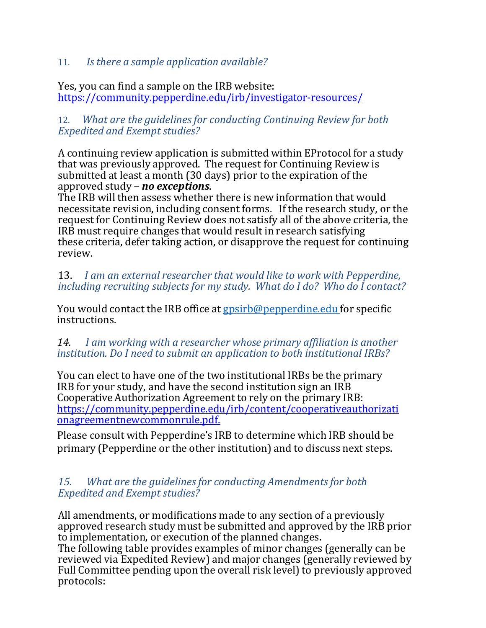## 11. *Isthere a sample application available?*

Yes, you can find a sample on the IRB website: <https://community.pepperdine.edu/irb/investigator-resources/>

#### 12. *What are the guidelinesfor conducting Continuing Review for both Expedited and Exempt studies?*

A continuing review application is submitted within EProtocol for a study that was previously approved. The request for Continuing Review is submitted at least a month (30 days) prior to the expiration of the approved study – *no exceptions*.

The IRB will then assess whether there is new information that would necessitate revision, including consent forms. If the research study, or the request for Continuing Review does not satisfy all of the above criteria, the IRB must require changes that would result in research satisfying these criteria, defer taking action, or disapprove the request for continuing review.

#### 13. *I am an external researcher that would like to work with Pepperdine, including recruiting subjects for my study. What do I do? Who do I contact?*

You would contact the IRB office at [gpsirb@pepperdine.edu](mailto:gpsirb@pepperdine.edu) for specific instructions.

#### *14. I am working with a researcher whose primary affiliation is another institution. Do I need to submit an application to both institutional IRBs?*

You can elect to have one of the two institutional IRBs be the primary IRB for your study, and have the second institution sign an IRB Cooperative Authorization Agreement to rely on the primary IRB: [https://community.pepperdine.edu/irb/content/cooperativeauthorizati](https://community.pepperdine.edu/irb/content/cooperativeauthorizationagreementnewcommonrule.pdf.) [onagreementnewcommonrule.pdf.](https://community.pepperdine.edu/irb/content/cooperativeauthorizationagreementnewcommonrule.pdf.)

Please consult with Pepperdine's IRB to determine which IRB should be primary (Pepperdine or the other institution) and to discuss next steps.

#### *15. What are the guidelinesfor conducting Amendmentsfor both Expedited and Exempt studies?*

All amendments, or modifications made to any section of a previously approved research study must be submitted and approved by the IRB prior to implementation, or execution of the planned changes.

The following table provides examples of minor changes (generally can be reviewed via Expedited Review) and major changes (generally reviewed by Full Committee pending upon the overall risk level) to previously approved protocols: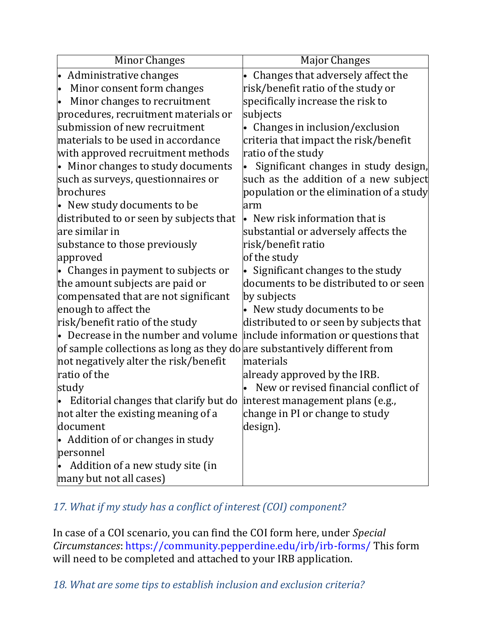| <b>Minor Changes</b>                                                      | <b>Major Changes</b>                     |
|---------------------------------------------------------------------------|------------------------------------------|
| • Administrative changes                                                  | Changes that adversely affect the        |
| Minor consent form changes<br>lo                                          | risk/benefit ratio of the study or       |
| Minor changes to recruitment                                              | specifically increase the risk to        |
| procedures, recruitment materials or                                      | subjects                                 |
| submission of new recruitment                                             | • Changes in inclusion/exclusion         |
| materials to be used in accordance                                        | criteria that impact the risk/benefit    |
| with approved recruitment methods                                         | ratio of the study                       |
| • Minor changes to study documents                                        | Significant changes in study design,     |
| such as surveys, questionnaires or                                        | such as the addition of a new subject    |
| brochures                                                                 | population or the elimination of a study |
| • New study documents to be                                               | arm                                      |
| distributed to or seen by subjects that                                   | • New risk information that is           |
| lare similar in                                                           | substantial or adversely affects the     |
| substance to those previously                                             | risk/benefit ratio                       |
| approved                                                                  | of the study                             |
| • Changes in payment to subjects or                                       | Significant changes to the study         |
| the amount subjects are paid or                                           | documents to be distributed to or seen   |
| compensated that are not significant                                      | by subjects                              |
| enough to affect the                                                      | • New study documents to be              |
| risk/benefit ratio of the study                                           | distributed to or seen by subjects that  |
| $\bullet$ Decrease in the number and volume                               | include information or questions that    |
| of sample collections as long as they do are substantively different from |                                          |
| not negatively alter the risk/benefit                                     | materials                                |
| ratio of the                                                              | already approved by the IRB.             |
| study                                                                     | New or revised financial conflict of     |
| Editorial changes that clarify but do                                     | interest management plans (e.g.,         |
| not alter the existing meaning of a                                       | change in PI or change to study          |
| document                                                                  | design).                                 |
| Addition of or changes in study                                           |                                          |
| personnel                                                                 |                                          |
| Addition of a new study site (in                                          |                                          |
| many but not all cases)                                                   |                                          |

# 17. What if my study has a conflict of interest (COI) component?

In case of a COI scenario, you can find the COI form here, under *Special Circumstances*: https://community.pepperdine.edu/irb/irb-forms/ This form will need to be completed and attached to your IRB application.

*18. What are some tips to establish inclusion and exclusion criteria?*